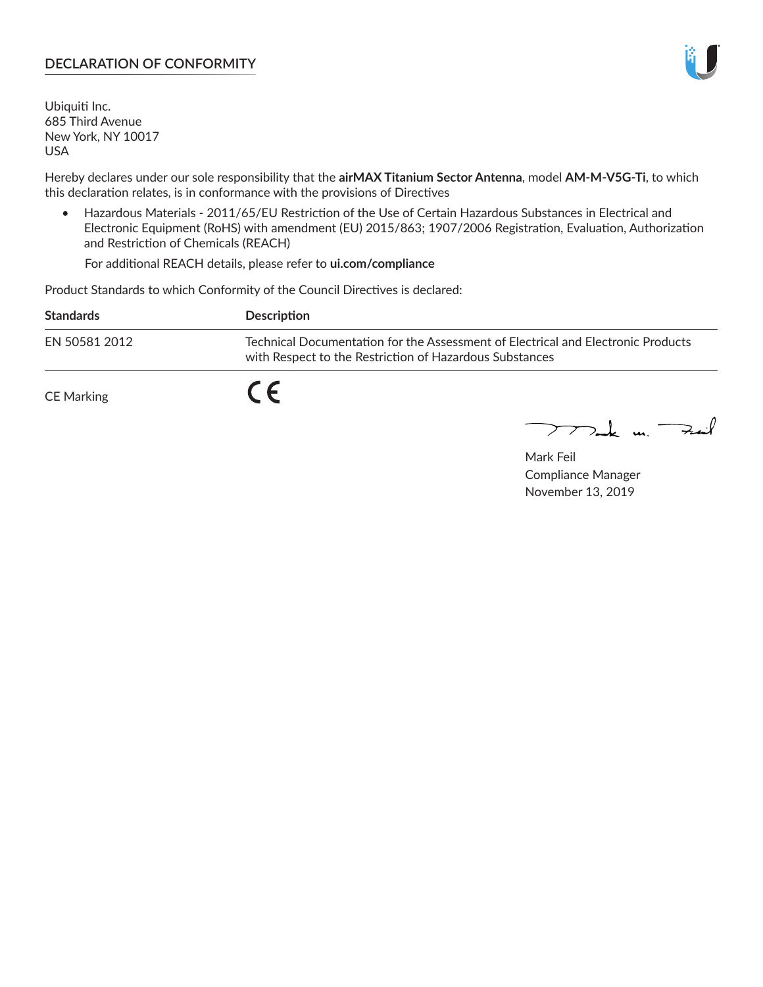#### **DECLARATION OF CONFORMITY**

Ubiquiti Inc. 685 Third Avenue New York, NY 10017 USA

Hereby declares under our sole responsibility that the **airMAX Titanium Sector Antenna**, model **AM-M-V5G-Ti**, to which this declaration relates, is in conformance with the provisions of Directives

• Hazardous Materials - 2011/65/EU Restriction of the Use of Certain Hazardous Substances in Electrical and Electronic Equipment (RoHS) with amendment (EU) 2015/863; 1907/2006 Registration, Evaluation, Authorization and Restriction of Chemicals (REACH)

For additional REACH details, please refer to **ui.com/compliance**

Product Standards to which Conformity of the Council Directives is declared:

| <b>Standards</b> | <b>Description</b>                                                                                                                          |
|------------------|---------------------------------------------------------------------------------------------------------------------------------------------|
| EN 50581 2012    | Technical Documentation for the Assessment of Electrical and Electronic Products<br>with Respect to the Restriction of Hazardous Substances |
| CE Marking       |                                                                                                                                             |

 $\sum_{n=1}^{\infty}$  un  $\sum_{n=1}^{\infty}$ 

Mark Feil Compliance Manager November 13, 2019

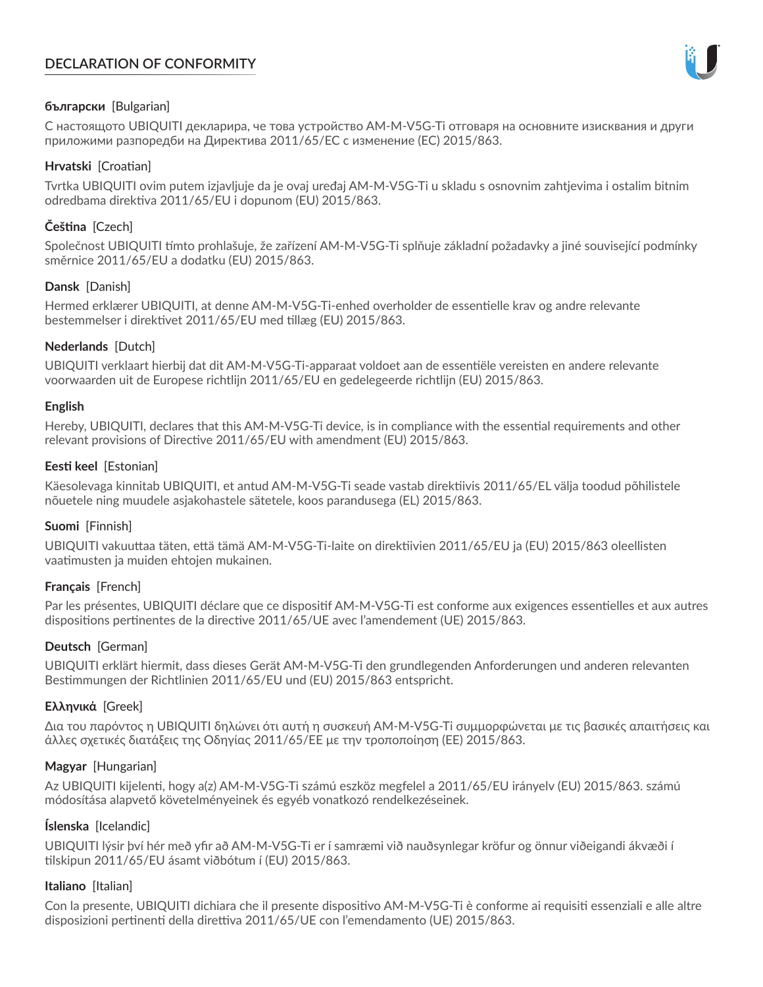# **DECLARATION OF CONFORMITY**



# **български** [Bulgarian]

С настоящото UBIQUITI декларира, че това устройство AM-M-V5G-Ti отговаря на основните изисквания и други приложими разпоредби на Директива 2011/65/ЕС с изменение (ЕС) 2015/863.

# **Hrvatski** [Croatian]

Tvrtka UBIQUITI ovim putem izjavljuje da je ovaj uređaj AM-M-V5G-Ti u skladu s osnovnim zahtjevima i ostalim bitnim odredbama direktiva 2011/65/EU i dopunom (EU) 2015/863.

# **Čeština** [Czech]

Společnost UBIQUITI tímto prohlašuje, že zařízení AM-M-V5G-Ti splňuje základní požadavky a jiné související podmínky směrnice 2011/65/EU a dodatku (EU) 2015/863.

# **Dansk** [Danish]

Hermed erklærer UBIQUITI, at denne AM-M-V5G-Ti-enhed overholder de essentielle krav og andre relevante bestemmelser i direktivet 2011/65/EU med tillæg (EU) 2015/863.

# **Nederlands** [Dutch]

UBIQUITI verklaart hierbij dat dit AM-M-V5G-Ti-apparaat voldoet aan de essentiële vereisten en andere relevante voorwaarden uit de Europese richtlijn 2011/65/EU en gedelegeerde richtlijn (EU) 2015/863.

# **English**

Hereby, UBIQUITI, declares that this AM-M-V5G-Ti device, is in compliance with the essential requirements and other relevant provisions of Directive 2011/65/EU with amendment (EU) 2015/863.

# **Eesti keel** [Estonian]

Käesolevaga kinnitab UBIQUITI, et antud AM-M-V5G-Ti seade vastab direktiivis 2011/65/EL välja toodud põhilistele nõuetele ning muudele asjakohastele sätetele, koos parandusega (EL) 2015/863.

# **Suomi** [Finnish]

UBIQUITI vakuuttaa täten, että tämä AM-M-V5G-Ti-laite on direktiivien 2011/65/EU ja (EU) 2015/863 oleellisten vaatimusten ja muiden ehtojen mukainen.

# **Français** [French]

Par les présentes, UBIQUITI déclare que ce dispositif AM-M-V5G-Ti est conforme aux exigences essentielles et aux autres dispositions pertinentes de la directive 2011/65/UE avec l'amendement (UE) 2015/863.

# **Deutsch** [German]

UBIQUITI erklärt hiermit, dass dieses Gerät AM-M-V5G-Ti den grundlegenden Anforderungen und anderen relevanten Bestimmungen der Richtlinien 2011/65/EU und (EU) 2015/863 entspricht.

# **Ελληνικά** [Greek]

Δια του παρόντος η UBIQUITI δηλώνει ότι αυτή η συσκευή AM-M-V5G-Ti συμμορφώνεται με τις βασικές απαιτήσεις και άλλες σχετικές διατάξεις της Οδηγίας 2011/65/ΕΕ με την τροποποίηση (ΕΕ) 2015/863.

# **Magyar** [Hungarian]

Az UBIQUITI kijelenti, hogy a(z) AM-M-V5G-Ti számú eszköz megfelel a 2011/65/EU irányelv (EU) 2015/863. számú módosítása alapvető követelményeinek és egyéb vonatkozó rendelkezéseinek.

# **Íslenska** [Icelandic]

UBIQUITI lýsir því hér með yfir að AM-M-V5G-Ti er í samræmi við nauðsynlegar kröfur og önnur viðeigandi ákvæði í tilskipun 2011/65/EU ásamt viðbótum í (EU) 2015/863.

# **Italiano** [Italian]

Con la presente, UBIQUITI dichiara che il presente dispositivo AM-M-V5G-Ti è conforme ai requisiti essenziali e alle altre disposizioni pertinenti della direttiva 2011/65/UE con l'emendamento (UE) 2015/863.